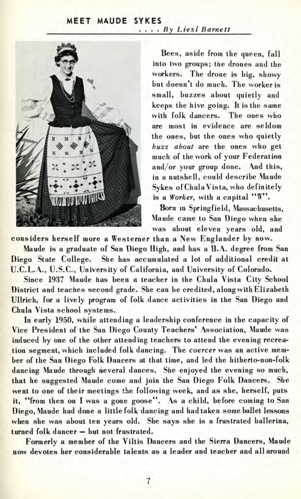## MEET MAUDE SYKES .... By Liesl Barnett



Bees, aside from the queen, fall into two groups; the drones and the workers. The drone is big, showy but doesn't do much. The worker is small, buzzes about quietly and keeps the hive going. It is the same with folk dancers. The ones who are most in evidence are seldom the ones, but the ones who quietly *buzz about* are the ones who get much of the work of your Federation and/or your group done. And this, in a nutshell, could describe Maude Sykes ofChulaVista, who definitely is a *Worker,* with a capital "W".

Born in Springfield, Massachusetts, Maude came to San Diego when she was about eleven years old, and

considers herself more a Westerner than a New Englander by now.

Maude is a graduate of San Diego High, and has a B.A. degree from San Diego State College. She has accumulated a lot of additional credit at U.C.L.A., U.S.C., University of California, and University of Colorado.

Since 1937 Maude has been a teacher in the Chula Vista City School District and teaches second grade. She can be credited, along with Elizabeth Ullrich, for a lively program of folk dance activities in the San Diego and Chula Vista school systems.

In early 1950, while attending a leadership conference in the capacity of Vice President of the San Diego County Teachers' Association, Maude was induced by one of the other attending teachers to attend the evening recreation segment, which included folk dancing. The *coercer* was an active member of the San Diego Folk Dancers at that time, and led the hitherto-non-folk dancing Maude through several dances. She enjoyed the evening so much, that he suggested Maude come and join the San Diego Folk Dancers. She went to one of their meetings the following week, and as she, herself, puts it, "from then on I was a gone goose". As a child, before coming to San Diego, Maude had done a little folk dancing and had taken some ballet lessons when she was about ten years old. She says she is a frustrated ballerina, turned folk dancer — but not frustrated.

Formerly a member of the Viltis Dancers and the Sierra Dancers, Maude now devotes her considerable talents as a leader and teacher and all around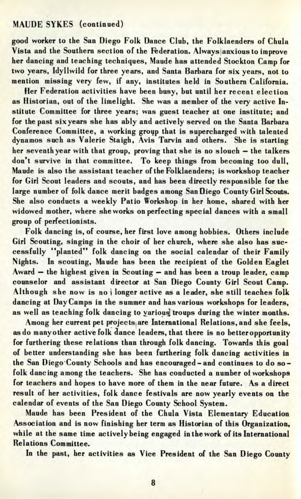## MAUDE SYKES (continued)

good worker to the San Diego Folk Dance Club, the Folklaenders of Chula Vista and the Southern section of the Federation. Always anxious to improve her dancing and teaching techniques, Maude has attended Stockton Camp for two years, Idyllwild for three years, and Santa Barbara for six years, not to mention missing very few, if any, institutes held in Southern California.

Her Federation activities have been busy, but until her recent election as Historian, out of the limelight. She was a member of the very active Institute Committee for three years; was guest teacher at one institute; and for the past six years she has ably and actively served on the Santa Barbara Conference Committee, a working group that is supercharged with talented dynamos such as Valerie Staigh, Avis Tarvin and others. She is starting her seventh year with that group, proving that she is no slouch — the talkers don't survive in that committee. To keep things from becoming too dull, Maude is also the assistant teacher of the Folklaenders; is workshop teacher for Girl Scout leaders and scouts, and has been directly responsible for the large number of folk dance merit badges among San Diego County Girl Scouts. She also conducts a weekly Patio Workshop in her home, shared with her widowed mother, where she works on perfecting special dances with a small group of perfectionists.

Folk dancing is, of course, her first love among hobbies. Others include Girl Scouting, singing in the choir of her church, where she also has successfully "planted" folk dancing on the social calendar of their Family Nights. In scouting, Maude has been the recipient of the Golden Eaglet Award — the highest given in Scouting — and has been a troup leader, camp counselor and assistant director at San Diego County Girl Scout Camp. Although she now is no *\r active as a leader, she still teaches folk* dancing at Day Camps in the summer and has various workshops for leaders, as well as teaching folk dancing to various troups during the winter months.

Among her current pet projects are International Relations, and she feels, as do many other active folk dance leaders, that there is no better opportunity for furthering these relations than through folk dancing. Towards this goal of better understanding she has been furthering folk dancing activities in the San Diego'County Schools and has encouraged-and continues to do sofolk dancing among the teachers. She has conducted a number of workshops for teachers and hopes to have more of them in the near future. As a direct result of her activities, folk dance festivals are now yearly events on the calendar of events of the San Diego County School System.

Maude has been President of the Chula Vista Elementary Education Association and is now finishing her term as Historian of this Organization, while at the same time actively being engaged in the work of its International Relations Committee.

In the past, her activities as Vice President of the San Diego County